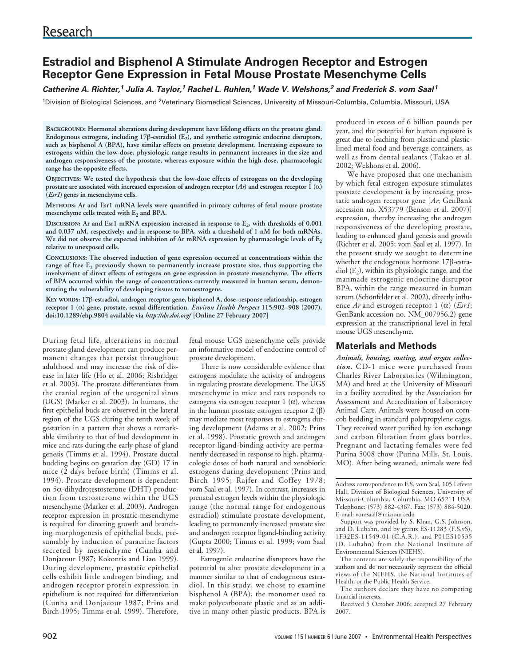# **Estradiol and Bisphenol A Stimulate Androgen Receptor and Estrogen Receptor Gene Expression in Fetal Mouse Prostate Mesenchyme Cells**

## **Catherine A. Richter,<sup>1</sup> Julia A. Taylor,<sup>1</sup> Rachel L. Ruhlen,<sup>1</sup> Wade V. Welshons,<sup>2</sup> and Frederick S. vom Saal<sup>1</sup>**

<sup>1</sup>Division of Biological Sciences, and <sup>2</sup>Veterinary Biomedical Sciences, University of Missouri-Columbia, Columbia, Missouri, USA

**BACKGROUND: Hormonal alterations during development have lifelong effects on the prostate gland. Endogenous estrogens, including 17**β**-estradiol (E2), and synthetic estrogenic endocrine disruptors, such as bisphenol A (BPA), have similar effects on prostate development. Increasing exposure to estrogens within the low-dose, physiologic range results in permanent increases in the size and androgen responsiveness of the prostate, whereas exposure within the high-dose, pharmacologic range has the opposite effects.**

**OBJECTIVES: We tested the hypothesis that the low-dose effects of estrogens on the developing prostate are associated with increased expression of androgen receptor**  $(Ar)$  **and estrogen receptor 1**  $(\alpha)$ **(***Esr1***) genes in mesenchyme cells.**

**METHODS: Ar and Esr1 mRNA levels were quantified in primary cultures of fetal mouse prostate** mesenchyme cells treated with  $E_2$  and BPA.

DISCUSSION: Ar and Esr1 mRNA expression increased in response to E<sub>2</sub>, with thresholds of 0.001 **and 0.037 nM, respectively; and in response to BPA, with a threshold of 1 nM for both mRNAs. We did not observe the expected inhibition of Ar mRNA expression by pharmacologic levels of E2 relative to unexposed cells.** 

**CONCLUSIONS: The observed induction of gene expression occurred at concentrations within the** range of free E<sub>2</sub> previously shown to permanently increase prostate size, thus supporting the **involvement of direct effects of estrogens on gene expression in prostate mesenchyme. The effects of BPA occurred within the range of concentrations currently measured in human serum, demonstrating the vulnerability of developing tissues to xenoestrogens.**

**KEY WORDS: 17**β**-estradiol, androgen receptor gene, bisphenol A, dose–response relationship, estrogen receptor 1 (**α**) gene, prostate, sexual differentiation.** *Environ Health Perspect* **115:902–908 (2007). doi:10.1289/ehp.9804 available via** *http://dx.doi.org/* **[Online 27 February 2007]**

During fetal life, alterations in normal prostate gland development can produce permanent changes that persist throughout adulthood and may increase the risk of disease in later life (Ho et al. 2006; Risbridger et al. 2005). The prostate differentiates from the cranial region of the urogenital sinus (UGS) (Marker et al. 2003). In humans, the first epithelial buds are observed in the lateral region of the UGS during the tenth week of gestation in a pattern that shows a remarkable similarity to that of bud development in mice and rats during the early phase of gland genesis (Timms et al. 1994). Prostate ductal budding begins on gestation day (GD) 17 in mice (2 days before birth) (Timms et al. 1994). Prostate development is dependent on 5α-dihydrotestosterone (DHT) production from testosterone within the UGS mesenchyme (Marker et al. 2003). Androgen receptor expression in prostatic mesenchyme is required for directing growth and branching morphogenesis of epithelial buds, presumably by induction of paracrine factors secreted by mesenchyme (Cunha and Donjacour 1987; Kokontis and Liao 1999). During development, prostatic epithelial cells exhibit little androgen binding, and androgen receptor protein expression in epithelium is not required for differentiation (Cunha and Donjacour 1987; Prins and Birch 1995; Timms et al. 1999). Therefore,

fetal mouse UGS mesenchyme cells provide an informative model of endocrine control of prostate development.

There is now considerable evidence that estrogens modulate the activity of androgens in regulating prostate development. The UGS mesenchyme in mice and rats responds to estrogens via estrogen receptor 1  $(\alpha)$ , whereas in the human prostate estrogen receptor  $2$  (β) may mediate most responses to estrogens during development (Adams et al. 2002; Prins et al. 1998). Prostatic growth and androgen receptor ligand-binding activity are permanently decreased in response to high, pharmacologic doses of both natural and xenobiotic estrogens during development (Prins and Birch 1995; Rajfer and Coffey 1978; vom Saal et al. 1997). In contrast, increases in prenatal estrogen levels within the physiologic range (the normal range for endogenous estradiol) stimulate prostate development, leading to permanently increased prostate size and androgen receptor ligand-binding activity (Gupta 2000; Timms et al. 1999; vom Saal et al. 1997).

Estrogenic endocrine disruptors have the potential to alter prostate development in a manner similar to that of endogenous estradiol. In this study, we chose to examine bisphenol A (BPA), the monomer used to make polycarbonate plastic and as an additive in many other plastic products. BPA is produced in excess of 6 billion pounds per year, and the potential for human exposure is great due to leaching from plastic and plasticlined metal food and beverage containers, as well as from dental sealants (Takao et al. 2002; Welshons et al. 2006).

We have proposed that one mechanism by which fetal estrogen exposure stimulates prostate development is by increasing prostatic androgen receptor gene [*Ar*; GenBank accession no. X53779 (Benson et al. 2007)] expression, thereby increasing the androgen responsiveness of the developing prostate, leading to enhanced gland genesis and growth (Richter et al. 2005; vom Saal et al. 1997). In the present study we sought to determine whether the endogenous hormone 17β-estradiol  $(E_2)$ , within its physiologic range, and the manmade estrogenic endocrine disruptor BPA, within the range measured in human serum (Schönfelder et al. 2002), directly influence *Ar* and estrogen receptor 1 (α) (*Esr1*; GenBank accession no. NM\_007956.2) gene expression at the transcriptional level in fetal mouse UGS mesenchyme.

### **Materials and Methods**

*Animals, housing, mating, and organ collection.* CD-1 mice were purchased from Charles River Laboratories (Wilmington, MA) and bred at the University of Missouri in a facility accredited by the Association for Assessment and Accreditation of Laboratory Animal Care. Animals were housed on corncob bedding in standard polypropylene cages. They received water purified by ion exchange and carbon filtration from glass bottles. Pregnant and lactating females were fed Purina 5008 chow (Purina Mills, St. Louis, MO). After being weaned, animals were fed

Address correspondence to F.S. vom Saal, 105 Lefevre Hall, Division of Biological Sciences, University of Missouri-Columbia, Columbia, MO 65211 USA. Telephone: (573) 882-4367. Fax: (573) 884-5020. E-mail: vomsaalf@missouri.edu

Support was provided by S. Khan, G.S. Johnson, and D. Lubahn, and by grants ES-11283 (F.S.vS), 1F32ES-11549-01 (C.A.R.), and P01ES10535 (D. Lubahn) from the National Institute of Environmental Sciences (NIEHS).

The contents are solely the responsibility of the authors and do not necessarily represent the official views of the NIEHS, the National Institutes of Health, or the Public Health Service.

The authors declare they have no competing financial interests.

Received 5 October 2006; accepted 27 February 2007.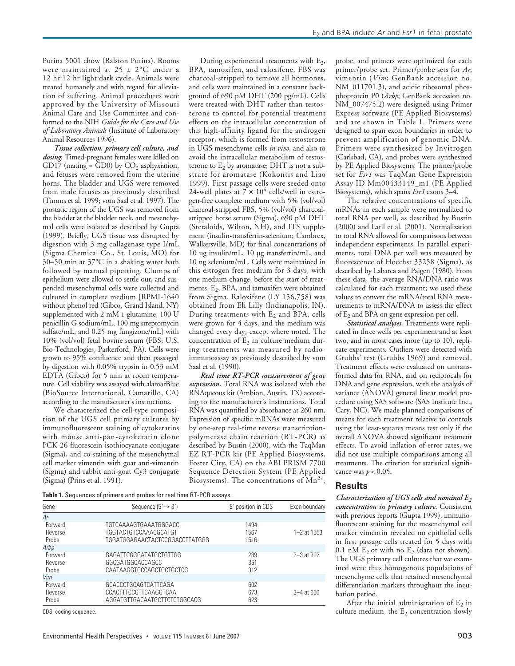Purina 5001 chow (Ralston Purina). Rooms were maintained at 25 ± 2°C under a 12 hr:12 hr light:dark cycle. Animals were treated humanely and with regard for alleviation of suffering. Animal procedures were approved by the University of Missouri Animal Care and Use Committee and conformed to the NIH *Guide for the Care and Use of Laboratory Animals* (Institute of Laboratory Animal Resources 1996).

*Tissue collection, primary cell culture, and dosing.* Timed-pregnant females were killed on GD17 (mating = GD0) by  $CO<sub>2</sub>$  asphyxiation, and fetuses were removed from the uterine horns. The bladder and UGS were removed from male fetuses as previously described (Timms et al. 1999; vom Saal et al. 1997). The prostatic region of the UGS was removed from the bladder at the bladder neck, and mesenchymal cells were isolated as described by Gupta (1999). Briefly, UGS tissue was disrupted by digestion with 3 mg collagenase type I/mL (Sigma Chemical Co., St. Louis, MO) for 30–50 min at 37°C in a shaking water bath followed by manual pipetting. Clumps of epithelium were allowed to settle out, and suspended mesenchymal cells were collected and cultured in complete medium [RPMI-1640 without phenol red (Gibco, Grand Island, NY) supplemented with 2 mM L-glutamine, 100 U penicillin G sodium/mL, 100 mg streptomycin sulfate/mL, and 0.25 mg fungizone/mL] with 10% (vol/vol) fetal bovine serum (FBS; U.S. Bio-Technologies, Parkerford, PA). Cells were grown to 95% confluence and then passaged by digestion with 0.05% trypsin in 0.53 mM EDTA (Gibco) for 5 min at room temperature. Cell viability was assayed with alamarBlue (BioSource International, Camarillo, CA) according to the manufacturer's instructions.

We characterized the cell-type composition of the UGS cell primary cultures by immunofluorescent staining of cytokeratins with mouse anti-pan-cytokeratin clone PCK-26 fluorescein isothiocyanate conjugate (Sigma), and co-staining of the mesenchymal cell marker vimentin with goat anti-vimentin (Sigma) and rabbit anti-goat Cy3 conjugate (Sigma) (Prins et al. 1991).

During experimental treatments with  $E<sub>2</sub>$ , BPA, tamoxifen, and raloxifene, FBS was charcoal-stripped to remove all hormones, and cells were maintained in a constant background of 690 pM DHT (200 pg/mL). Cells were treated with DHT rather than testosterone to control for potential treatment effects on the intracellular concentration of this high-affinity ligand for the androgen receptor, which is formed from testosterone in UGS mesenchyme cells *in vivo*, and also to avoid the intracellular metabolism of testosterone to  $E_2$  by aromatase; DHT is not a substrate for aromatase (Kokontis and Liao 1999). First passage cells were seeded onto 24-well plates at  $7 \times 10^4$  cells/well in estrogen-free complete medium with 5% (vol/vol) charcoal-stripped FBS, 5% (vol/vol) charcoalstripped horse serum (Sigma), 690 pM DHT (Steraloids, Wilton, NH), and ITS supplement (insulin-transferrin-selenium; Cambrex, Walkersville, MD) for final concentrations of 10 µg insulin/mL, 10 µg transferrin/mL, and 10 ng selenium/mL. Cells were maintained in this estrogen-free medium for 3 days, with one medium change, before the start of treatments.  $E_2$ , BPA, and tamoxifen were obtained from Sigma. Raloxifene (LY 156,758) was obtained from Eli Lilly (Indianapolis, IN). During treatments with  $E_2$  and BPA, cells were grown for 4 days, and the medium was changed every day, except where noted. The concentration of  $E_2$  in culture medium during treatments was measured by radioimmunoassay as previously described by vom Saal et al. (1990).

*Real time RT-PCR measurement of gene expression.* Total RNA was isolated with the RNAqueous kit (Ambion, Austin, TX) according to the manufacturer's instructions. Total RNA was quantified by absorbance at 260 nm. Expression of specific mRNAs were measured by one-step real-time reverse transcriptionpolymerase chain reaction (RT-PCR) as described by Bustin (2000), with the TaqMan EZ RT-PCR kit (PE Applied Biosystems, Foster City, CA) on the ABI PRISM 7700 Sequence Detection System (PE Applied Biosystems). The concentrations of  $Mn^{2+}$ ,

**Table 1.** Sequences of primers and probes for real time RT-PCR assays.

| Gene                        | Sequence $(5 \rightarrow 3')$                                                    | 5 <sup><i>c</i></sup> position in CDS | Exon boundary   |
|-----------------------------|----------------------------------------------------------------------------------|---------------------------------------|-----------------|
| Ar                          |                                                                                  |                                       |                 |
| Forward<br>Reverse<br>Probe | TGTCAAAAGTGAAATGGGACC<br>TGGTACTGTCCAAACGCATGT<br>TGGATGGAGAACTACTCCGGACCTTATGGG | 1494<br>1567<br>1516                  | $1 - 2$ at 1553 |
| Arbp                        |                                                                                  |                                       |                 |
| Forward<br>Reverse<br>Probe | GAGATTCGGGATATGCTGTTGG<br>GGCGATGGCACCAGCC<br>CAATAAGGTGCCAGCTGCTGCTCG           | 289<br>351<br>312                     | $2 - 3$ at 302  |
| Vim                         |                                                                                  |                                       |                 |
| Forward<br>Reverse<br>Probe | GCACCCTGCAGTCATTCAGA<br>CCACTTTCCGTTCAAGGTCAA<br>AGGATGTTGACAATGCTTCTCTGGCACG    | 602<br>673<br>623                     | $3 - 4$ at 660  |

CDS, coding sequence.

probe, and primers were optimized for each primer/probe set. Primer/probe sets for *Ar*, vimentin (*Vim*; GenBank accession no. NM\_011701.3), and acidic ribosomal phosphoprotein P0 (*Arbp*; GenBank accession no. NM\_007475.2) were designed using Primer Express software (PE Applied Biosystems) and are shown in Table 1. Primers were designed to span exon boundaries in order to prevent amplification of genomic DNA. Primers were synthesized by Invitrogen (Carlsbad, CA), and probes were synthesized by PE Applied Biosystems. The primer/probe set for *Esr1* was TaqMan Gene Expression Assay ID Mm00433149\_m1 (PE Applied Biosystems), which spans *Esr1* exons 3–4.

The relative concentrations of specific mRNAs in each sample were normalized to total RNA per well, as described by Bustin (2000) and Latil et al. (2001). Normalization to total RNA allowed for comparisons between independent experiments. In parallel experiments, total DNA per well was measured by fluorescence of Hoechst 33258 (Sigma), as described by Labarca and Paigen (1980). From these data, the average RNA/DNA ratio was calculated for each treatment; we used these values to convert the mRNA/total RNA measurements to mRNA/DNA to assess the effect of  $E_2$  and BPA on gene expression per cell.

*Statistical analyses.* Treatments were replicated in three wells per experiment and at least two, and in most cases more (up to 10), replicate experiments. Outliers were detected with Grubbs' test (Grubbs 1969) and removed. Treatment effects were evaluated on untransformed data for RNA, and on reciprocals for DNA and gene expression, with the analysis of variance (ANOVA) general linear model procedure using SAS software (SAS Institute Inc., Cary, NC). We made planned comparisons of means for each treatment relative to controls using the least-squares means test only if the overall ANOVA showed significant treatment effects. To avoid inflation of error rates, we did not use multiple comparisons among all treatments. The criterion for statistical significance was  $p < 0.05$ .

#### **Results**

*Characterization of UGS cells and nominal E2 concentration in primary culture.* Consistent with previous reports (Gupta 1999), immunofluorescent staining for the mesenchymal cell marker vimentin revealed no epithelial cells in first passage cells treated for 5 days with 0.1 nM  $E_2$  or with no  $E_2$  (data not shown). The UGS primary cell cultures that we examined were thus homogenous populations of mesenchyme cells that retained mesenchymal differentiation markers throughout the incubation period.

After the initial administration of  $E_2$  in culture medium, the  $E_2$  concentration slowly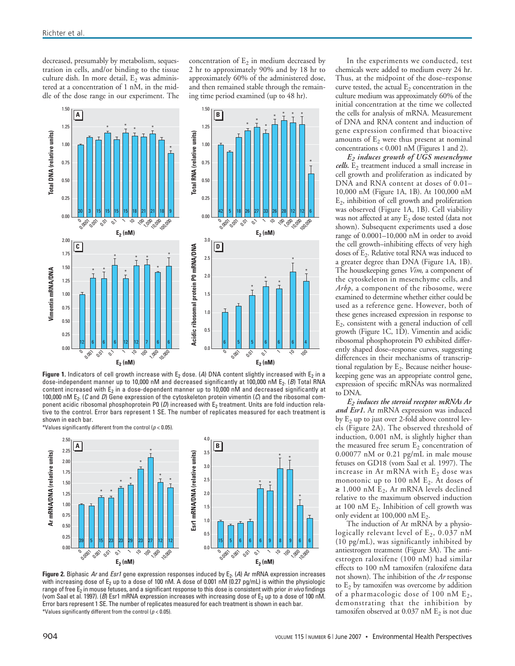decreased, presumably by metabolism, sequestration in cells, and/or binding to the tissue culture dish. In more detail,  $E_2$  was administered at a concentration of 1 nM, in the middle of the dose range in our experiment. The concentration of  $E_2$  in medium decreased by 2 hr to approximately 90% and by 18 hr to approximately 60% of the administered dose, and then remained stable through the remaining time period examined (up to 48 hr).



**Figure 1.** Indicators of cell growth increase with  $E_2$  dose. (A) DNA content slightly increased with  $E_2$  in a dose-independent manner up to 10,000 nM and decreased significantly at 100,000 nM E<sub>2</sub>. (B) Total RNA content increased with  $E_2$  in a dose-dependent manner up to 10,000 nM and decreased significantly at 100,000 nM  $E_2$ . (C and D) Gene expression of the cytoskeleton protein vimentin (C) and the ribosomal component acidic ribosomal phosphoprotein P0  $(D)$  increased with E<sub>2</sub> treatment. Units are fold induction relative to the control. Error bars represent 1 SE. The number of replicates measured for each treatment is shown in each bar.

\*Values significantly different from the control ( $p < 0.05$ ).



**Figure 2.** Biphasic Ar and Esr1 gene expression responses induced by E<sub>2</sub>. (A) Ar mRNA expression increases with increasing dose of E<sub>2</sub> up to a dose of 100 nM. A dose of 0.001 nM (0.27 pg/mL) is within the physiologic range of free  $E_2$  in mouse fetuses, and a significant response to this dose is consistent with prior in vivo findings (vom Saal et al. 1997). (B) Esr1 mRNA expression increases with increasing dose of  $E_2$  up to a dose of 100 nM. Error bars represent 1 SE. The number of replicates measured for each treatment is shown in each bar. \*Values significantly different from the control ( $p < 0.05$ ).

In the experiments we conducted, test chemicals were added to medium every 24 hr. Thus, at the midpoint of the dose–response curve tested, the actual  $E_2$  concentration in the culture medium was approximately 60% of the initial concentration at the time we collected the cells for analysis of mRNA. Measurement of DNA and RNA content and induction of gene expression confirmed that bioactive amounts of  $E_2$  were thus present at nominal concentrations < 0.001 nM (Figures 1 and 2).

*E2 induces growth of UGS mesenchyme cells*. E<sub>2</sub> treatment induced a small increase in cell growth and proliferation as indicated by DNA and RNA content at doses of 0.01– 10,000 nM (Figure 1A, 1B). At 100,000 nM  $E<sub>2</sub>$ , inhibition of cell growth and proliferation was observed (Figure 1A, 1B). Cell viability was not affected at any  $E_2$  dose tested (data not shown). Subsequent experiments used a dose range of 0.0001–10,000 nM in order to avoid the cell growth–inhibiting effects of very high doses of  $E_2$ . Relative total RNA was induced to a greater degree than DNA (Figure 1A, 1B). The housekeeping genes *Vim*, a component of the cytoskeleton in mesenchyme cells, and *Arbp*, a component of the ribosome, were examined to determine whether either could be used as a reference gene. However, both of these genes increased expression in response to E2, consistent with a general induction of cell growth (Figure 1C, 1D). Vimentin and acidic ribosomal phosphoprotein P0 exhibited differently shaped dose–response curves, suggesting differences in their mechanisms of transcriptional regulation by  $E_2$ . Because neither housekeeping gene was an appropriate control gene, expression of specific mRNAs was normalized to DNA.

*E2 induces the steroid receptor mRNAs Ar and Esr1.* Ar mRNA expression was induced by  $E_2$  up to just over 2-fold above control levels (Figure 2A). The observed threshold of induction, 0.001 nM, is slightly higher than the measured free serum  $E_2$  concentration of 0.00077 nM or 0.21 pg/mL in male mouse fetuses on GD18 (vom Saal et al. 1997). The increase in Ar mRNA with  $E_2$  dose was monotonic up to  $100$  nM  $E_2$ . At doses of  $\geq$  1,000 nM E<sub>2</sub>, Ar mRNA levels declined relative to the maximum observed induction at 100 nM  $E_2$ . Inhibition of cell growth was only evident at  $100,000$  nM  $E_2$ .

The induction of Ar mRNA by a physiologically relevant level of  $E_2$ , 0.037 nM (10 pg/mL), was significantly inhibited by antiestrogen treatment (Figure 3A). The antiestrogen raloxifene (100 nM) had similar effects to 100 nM tamoxifen (raloxifene data not shown). The inhibition of the *Ar* response to  $E_2$  by tamoxifen was overcome by addition of a pharmacologic dose of 100 nM  $E_2$ , demonstrating that the inhibition by tamoxifen observed at 0.037 nM  $E<sub>2</sub>$  is not due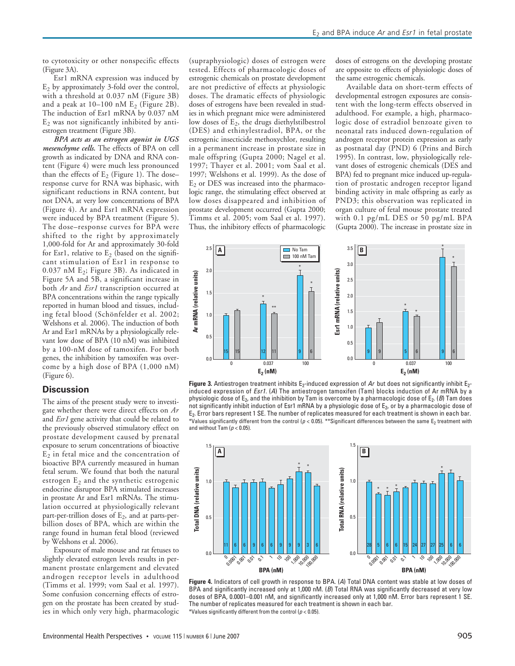to cytotoxicity or other nonspecific effects (Figure 3A).

Esr1 mRNA expression was induced by  $E_2$  by approximately 3-fold over the control, with a threshold at 0.037 nM (Figure 3B) and a peak at  $10-100$  nM E<sub>2</sub> (Figure 2B). The induction of Esr1 mRNA by 0.037 nM  $E<sub>2</sub>$  was not significantly inhibited by antiestrogen treatment (Figure 3B).

*BPA acts as an estrogen agonist in UGS mesenchyme cells.* The effects of BPA on cell growth as indicated by DNA and RNA content (Figure 4) were much less pronounced than the effects of  $E_2$  (Figure 1). The doseresponse curve for RNA was biphasic, with significant reductions in RNA content, but not DNA, at very low concentrations of BPA (Figure 4). Ar and Esr1 mRNA expression were induced by BPA treatment (Figure 5). The dose–response curves for BPA were shifted to the right by approximately 1,000-fold for Ar and approximately 30-fold for Esr1, relative to  $E_2$  (based on the significant stimulation of Esr1 in response to  $0.037$  nM E<sub>2</sub>; Figure 3B). As indicated in Figure 5A and 5B, a significant increase in both *Ar* and *Esr1* transcription occurred at BPA concentrations within the range typically reported in human blood and tissues, including fetal blood (Schönfelder et al. 2002; Welshons et al. 2006). The induction of both Ar and Esr1 mRNAs by a physiologically relevant low dose of BPA (10 nM) was inhibited by a 100-nM dose of tamoxifen. For both genes, the inhibition by tamoxifen was overcome by a high dose of BPA (1,000 nM) (Figure 6).

#### **Discussion**

The aims of the present study were to investigate whether there were direct effects on *Ar* and *Esr1* gene activity that could be related to the previously observed stimulatory effect on prostate development caused by prenatal exposure to serum concentrations of bioactive  $E_2$  in fetal mice and the concentration of bioactive BPA currently measured in human fetal serum. We found that both the natural estrogen  $E_2$  and the synthetic estrogenic endocrine disruptor BPA stimulated increases in prostate Ar and Esr1 mRNAs. The stimulation occurred at physiologically relevant part-per-trillion doses of  $E_2$ , and at parts-perbillion doses of BPA, which are within the range found in human fetal blood (reviewed by Welshons et al. 2006).

Exposure of male mouse and rat fetuses to slightly elevated estrogen levels results in permanent prostate enlargement and elevated androgen receptor levels in adulthood (Timms et al. 1999; vom Saal et al. 1997). Some confusion concerning effects of estrogen on the prostate has been created by studies in which only very high, pharmacologic

(supraphysiologic) doses of estrogen were tested. Effects of pharmacologic doses of estrogenic chemicals on prostate development are not predictive of effects at physiologic doses. The dramatic effects of physiologic doses of estrogens have been revealed in studies in which pregnant mice were administered low doses of  $E<sub>2</sub>$ , the drugs diethylstilbestrol (DES) and ethinylestradiol, BPA, or the estrogenic insecticide methoxychlor, resulting in a permanent increase in prostate size in male offspring (Gupta 2000; Nagel et al. 1997; Thayer et al. 2001; vom Saal et al. 1997; Welshons et al. 1999). As the dose of  $E<sub>2</sub>$  or DES was increased into the pharmacologic range, the stimulating effect observed at low doses disappeared and inhibition of prostate development occurred (Gupta 2000; Timms et al. 2005; vom Saal et al. 1997). Thus, the inhibitory effects of pharmacologic

doses of estrogens on the developing prostate are opposite to effects of physiologic doses of the same estrogenic chemicals.

Available data on short-term effects of developmental estrogen exposures are consistent with the long-term effects observed in adulthood. For example, a high, pharmacologic dose of estradiol benzoate given to neonatal rats induced down-regulation of androgen receptor protein expression as early as postnatal day (PND) 6 (Prins and Birch 1995). In contrast, low, physiologically relevant doses of estrogenic chemicals (DES and BPA) fed to pregnant mice induced up-regulation of prostatic androgen receptor ligand binding activity in male offspring as early as PND3; this observation was replicated in organ culture of fetal mouse prostate treated with 0.1 pg/mL DES or 50 pg/mL BPA (Gupta 2000). The increase in prostate size in



Figure 3. Antiestrogen treatment inhibits E<sub>2</sub>-induced expression of Ar but does not significantly inhibit E<sub>2</sub>induced expression of Esr1. (A) The antiestrogen tamoxifen (Tam) blocks induction of Ar mRNA by a physiologic dose of  $E_2$ , and the inhibition by Tam is overcome by a pharmacologic dose of  $E_2$ . (*B*) Tam does not significantly inhibit induction of Esr1 mRNA by a physiologic dose of  $E_2$ , or by a pharmacologic dose of E2. Error bars represent 1 SE. The number of replicates measured for each treatment is shown in each bar. \*Values significantly different from the control ( $p < 0.05$ ). \*\*Significant differences between the same  $E_2$  treatment with and without Tam ( $p < 0.05$ ).



**Figure 4.** Indicators of cell growth in response to BPA. (A) Total DNA content was stable at low doses of BPA and significantly increased only at 1,000 nM. (B) Total RNA was significantly decreased at very low doses of BPA, 0.0001–0.001 nM, and significantly increased only at 1,000 nM. Error bars represent 1 SE. The number of replicates measured for each treatment is shown in each bar. \*Values significantly different from the control ( $p < 0.05$ ).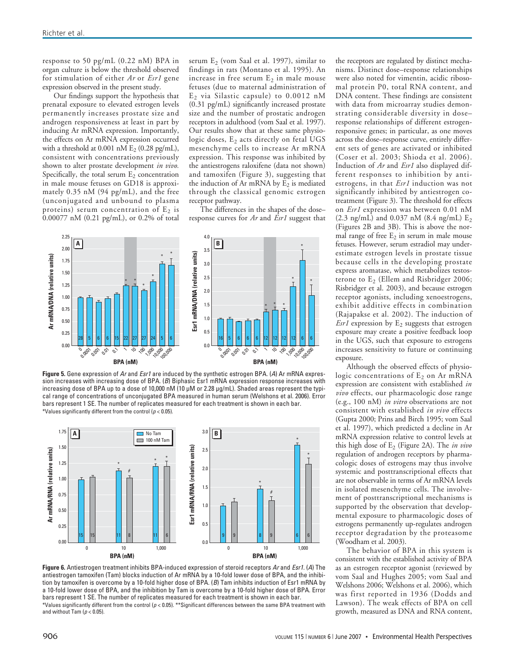response to 50 pg/mL (0.22 nM) BPA in organ culture is below the threshold observed for stimulation of either *Ar* or *Esr1* gene expression observed in the present study.

Our findings support the hypothesis that prenatal exposure to elevated estrogen levels permanently increases prostate size and androgen responsiveness at least in part by inducing Ar mRNA expression. Importantly, the effects on Ar mRNA expression occurred with a threshold at 0.001 nM  $E_2$  (0.28 pg/mL), consistent with concentrations previously shown to alter prostate development *in vivo.* Specifically, the total serum  $E_2$  concentration in male mouse fetuses on GD18 is approximately 0.35 nM (94 pg/mL), and the free (unconjugated and unbound to plasma proteins) serum concentration of  $E_2$  is 0.00077 nM (0.21 pg/mL), or 0.2% of total

serum  $E_2$  (vom Saal et al. 1997), similar to findings in rats (Montano et al. 1995). An increase in free serum  $E_2$  in male mouse fetuses (due to maternal administration of  $E_2$  via Silastic capsule) to 0.0012 nM (0.31 pg/mL) significantly increased prostate size and the number of prostatic androgen receptors in adulthood (vom Saal et al. 1997). Our results show that at these same physiologic doses,  $E_2$  acts directly on fetal UGS mesenchyme cells to increase Ar mRNA expression. This response was inhibited by the antiestrogens raloxifene (data not shown) and tamoxifen (Figure 3), suggesting that the induction of Ar mRNA by  $E_2$  is mediated through the classical genomic estrogen receptor pathway.

The differences in the shapes of the dose– response curves for *Ar* and *Esr1* suggest that



**Figure 5.** Gene expression of Ar and Esr1 are induced by the synthetic estrogen BPA. (A) Ar mRNA expression increases with increasing dose of BPA. (B) Biphasic Esr1 mRNA expression response increases with increasing dose of BPA up to a dose of 10,000 nM (10 µM or 2.28 µg/mL). Shaded areas represent the typical range of concentrations of unconjugated BPA measured in human serum (Welshons et al. 2006). Error bars represent 1 SE. The number of replicates measured for each treatment is shown in each bar. \*Values significantly different from the control ( $p < 0.05$ ).



**Figure 6.** Antiestrogen treatment inhibits BPA-induced expression of steroid receptors Ar and Esr1. (A) The antiestrogen tamoxifen (Tam) blocks induction of Ar mRNA by a 10-fold lower dose of BPA, and the inhibition by tamoxifen is overcome by a 10-fold higher dose of BPA. (B) Tam inhibits induction of Esr1 mRNA by a 10-fold lower dose of BPA, and the inhibition by Tam is overcome by a 10-fold higher dose of BPA. Error bars represent 1 SE. The number of replicates measured for each treatment is shown in each bar. \*Values significantly different from the control ( $p < 0.05$ ). \*\*Significant differences between the same BPA treatment with and without Tam ( $p < 0.05$ )

the receptors are regulated by distinct mechanisms. Distinct dose–response relationships were also noted for vimentin, acidic ribosomal protein P0, total RNA content, and DNA content. These findings are consistent with data from microarray studies demonstrating considerable diversity in dose– response relationships of different estrogenresponsive genes; in particular, as one moves across the dose–response curve, entirely different sets of genes are activated or inhibited (Coser et al. 2003; Shioda et al. 2006). Induction of *Ar* and *Esr1* also displayed different responses to inhibition by antiestrogens, in that *Esr1* induction was not significantly inhibited by antiestrogen cotreatment (Figure 3). The threshold for effects on *Esr1* expression was between 0.01 nM  $(2.3 \text{ ng/mL})$  and 0.037 nM  $(8.4 \text{ ng/mL})$  E<sub>2</sub> (Figures 2B and 3B). This is above the normal range of free  $E_2$  in serum in male mouse fetuses. However, serum estradiol may underestimate estrogen levels in prostate tissue because cells in the developing prostate express aromatase, which metabolizes testosterone to  $E<sub>2</sub>$  (Ellem and Risbridger 2006; Risbridger et al. 2003), and because estrogen receptor agonists, including xenoestrogens, exhibit additive effects in combination (Rajapakse et al. 2002). The induction of  $Esr1$  expression by  $E_2$  suggests that estrogen exposure may create a positive feedback loop in the UGS, such that exposure to estrogens increases sensitivity to future or continuing exposure.

Although the observed effects of physiologic concentrations of  $E_2$  on Ar mRNA expression are consistent with established *in vivo* effects, our pharmacologic dose range (e.g., 100 nM) *in vitro* observations are not consistent with established *in vivo* effects (Gupta 2000; Prins and Birch 1995; vom Saal et al. 1997), which predicted a decline in Ar mRNA expression relative to control levels at this high dose of E<sub>2</sub> (Figure 2A). The *in vivo* regulation of androgen receptors by pharmacologic doses of estrogens may thus involve systemic and posttranscriptional effects that are not observable in terms of Ar mRNA levels in isolated mesenchyme cells. The involvement of posttranscriptional mechanisms is supported by the observation that developmental exposure to pharmacologic doses of estrogens permanently up-regulates androgen receptor degradation by the proteasome (Woodham et al. 2003).

The behavior of BPA in this system is consistent with the established activity of BPA as an estrogen receptor agonist (reviewed by vom Saal and Hughes 2005; vom Saal and Welshons 2006; Welshons et al. 2006), which was first reported in 1936 (Dodds and Lawson). The weak effects of BPA on cell growth, measured as DNA and RNA content,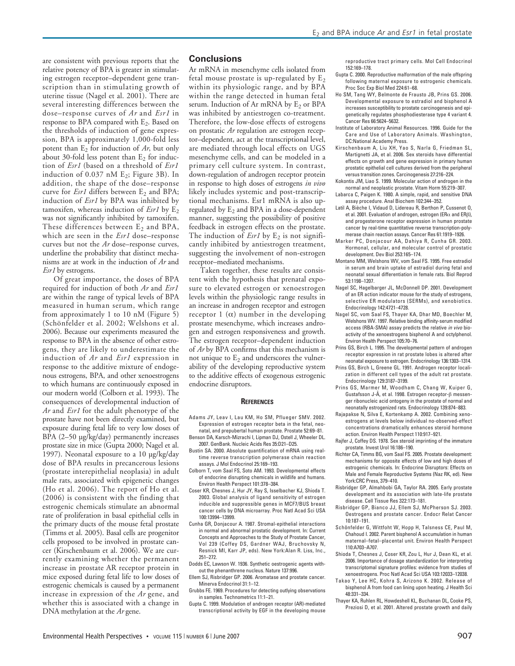are consistent with previous reports that the relative potency of BPA is greater in stimulating estrogen receptor–dependent gene transcription than in stimulating growth of uterine tissue (Nagel et al. 2001). There are several interesting differences between the dose–response curves of *Ar* and *Esr1* in response to BPA compared with  $E<sub>2</sub>$ . Based on the thresholds of induction of gene expression, BPA is approximately 1,000-fold less potent than  $E_2$  for induction of  $Ar$ , but only about 30-fold less potent than  $E_2$  for induction of *Esr1* (based on a threshold of *Esr1* induction of  $0.037$  nM  $E_2$ ; Figure 3B). In addition, the shape of the dose–response curve for  $Esr1$  differs between  $E_2$  and BPA; induction of *Esr1* by BPA was inhibited by tamoxifen, whereas induction of  $Esr1$  by  $E_2$ was not significantly inhibited by tamoxifen. These differences between  $E_2$  and BPA, which are seen in the *Esr1* dose–response curves but not the *Ar* dose–response curves, underline the probability that distinct mechanisms are at work in the induction of *Ar* and *Esr1* by estrogens.

Of great importance, the doses of BPA required for induction of both *Ar* and *Esr1* are within the range of typical levels of BPA measured in human serum, which range from approximately 1 to 10 nM (Figure 5) (Schönfelder et al. 2002; Welshons et al. 2006). Because our experiments measured the response to BPA in the absence of other estrogens, they are likely to underestimate the induction of *Ar* and *Esr1* expression in response to the additive mixture of endogenous estrogens, BPA, and other xenoestrogens to which humans are continuously exposed in our modern world (Colborn et al. 1993). The consequences of developmental induction of *Ar* and *Esr1* for the adult phenotype of the prostate have not been directly examined, but exposure during fetal life to very low doses of BPA  $(2-50 \mu g/kg/day)$  permanently increases prostate size in mice (Gupta 2000; Nagel et al. 1997). Neonatal exposure to a 10 µg/kg/day dose of BPA results in precancerous lesions (prostate interepithelial neoplasia) in adult male rats, associated with epigenetic changes (Ho et al. 2006). The report of Ho et al. (2006) is consistent with the finding that estrogenic chemicals stimulate an abnormal rate of proliferation in basal epithelial cells in the primary ducts of the mouse fetal prostate (Timms et al. 2005). Basal cells are progenitor cells proposed to be involved in prostate cancer (Kirschenbaum et al. 2006). We are currently examining whether the permanent increase in prostate AR receptor protein in mice exposed during fetal life to low doses of estrogenic chemicals is caused by a permanent increase in expression of the *Ar* gene, and whether this is associated with a change in DNA methylation at the *Ar* gene.

#### **Conclusions**

Ar mRNA in mesenchyme cells isolated from fetal mouse prostate is up-regulated by  $E_2$ within its physiologic range, and by BPA within the range detected in human fetal serum. Induction of Ar mRNA by  $E_2$  or BPA was inhibited by antiestrogen co-treatment. Therefore, the low-dose effects of estrogens on prostatic *Ar* regulation are estrogen receptor–dependent, act at the transcriptional level, are mediated through local effects on UGS mesenchyme cells, and can be modeled in a primary cell culture system. In contrast, down-regulation of androgen receptor protein in response to high doses of estrogens *in vivo* likely includes systemic and post-transcriptional mechanisms. Esr1 mRNA is also upregulated by  $E_2$  and BPA in a dose-dependent manner, suggesting the possibility of positive feedback in estrogen effects on the prostate. The induction of  $Esr1$  by  $E_2$  is not significantly inhibited by antiestrogen treatment, suggesting the involvement of non-estrogen receptor–mediated mechanisms.

Taken together, these results are consistent with the hypothesis that prenatal exposure to elevated estrogen or xenoestrogen levels within the physiologic range results in an increase in androgen receptor and estrogen receptor 1  $(α)$  number in the developing prostate mesenchyme, which increases androgen and estrogen responsiveness and growth. The estrogen receptor–dependent induction of *Ar* by BPA confirms that this mechanism is not unique to  $E_2$  and underscores the vulnerability of the developing reproductive system to the additive effects of exogenous estrogenic endocrine disruptors.

#### **REFERENCES**

- Adams JY, Leav I, Lau KM, Ho SM, Pflueger SMV. 2002. Expression of estrogen receptor beta in the fetal, neonatal, and prepubertal human prostate. Prostate 52:69–81.
- Benson DA, Karsch-Mizrachi I, Lipman DJ, Ostell J, Wheeler DL. 2007. GenBank. Nucleic Acids Res 35:D21–D25.
- Bustin SA. 2000. Absolute quantification of mRNA using realtime reverse transcription polymerase chain reaction assays. J Mol Endocrinol 25:169–193.
- Colborn T, vom Saal FS, Soto AM. 1993. Developmental effects of endocrine disrupting chemicals in wildlife and humans. Environ Health Perspect 101:378–384.
- Coser KR, Chesnes J, Hur JY, Ray S, Isselbacher KJ, Shioda T. 2003. Global analysis of ligand sensitivity of estrogen inducible and suppressible genes in MCF7/BUS breast cancer cells by DNA microarray. Proc Natl Acad Sci USA 100:13994–13999.
- Cunha GR, Donjacour A. 1987. Stromal-epithelial interactions in normal and abnormal prostatic development. In: Current Concepts and Approaches to the Study of Prostate Cancer, Vol 239 (Coffey DS, Gardner WAJ, Bruchovsky N, Resnick MI, Karr JP, eds). New York:Alan R. Liss, Inc., 251–272.
- Dodds EC, Lawson W. 1936. Synthetic oestrogenic agents without the phenanthrene nucleus. Nature 137:996.
- Ellem SJ, Risbridger GP. 2006. Aromatase and prostate cancer. Minerva Endocrinol 31:1–12.
- Grubbs FE. 1969. Procedures for detecting outlying observations in samples. Technometrics 11:1–21.
- Gupta C. 1999. Modulation of androgen receptor (AR)-mediated transcriptional activity by EGF in the developing mouse

reproductive tract primary cells. Mol Cell Endocrinol 152:169–178.

- Gupta C. 2000. Reproductive malformation of the male offspring following maternal exposure to estrogenic chemicals. Proc Soc Exp Biol Med 224:61–68.
- Ho SM, Tang WY, Belmonte de Frausto JB, Prins GS. 2006. Developmental exposure to estradiol and bisphenol A increases susceptibility to prostate carcinogenesis and epigenetically regulates phosphodiesterase type 4 variant 4. Cancer Res 66:5624–5632.
- Institute of Laboratory Animal Resources. 1996. Guide for the Care and Use of Laboratory Animals. Washington, DC:National Academy Press.
- Kirschenbaum A, Liu XH, Yao S, Narla G, Friedman SL, Martignetti JA, et al. 2006. Sex steroids have differential effects on growth and gene expression in primary human prostatic epithelial cell cultures derived from the peripheral versus transition zones. Carcinogenesis 27:216–224.
- Kokontis JM, Liao S. 1999. Molecular action of androgen in the normal and neoplastic prostate. Vitam Horm 55:219–307.
- Labarca C, Paigen K. 1980. A simple, rapid, and sensitive DNA assay procedure. Anal Biochem 102:344–352.
- Latil A, Bièche I, Vidaud D, Lidereau R, Berthon P, Cussenot O, et al. 2001. Evaluation of androgen, estrogen (ERα and ERβ), and progesterone receptor expression in human prostate cancer by real-time quantitative reverse transcription-polymerase chain reaction assays. Cancer Res 61:1919–1926.
- Marker PC, Donjacour AA, Dahiya R, Cunha GR. 2003. Hormonal, cellular, and molecular control of prostatic development. Dev Biol 253:165–174.
- Montano MM, Welshons WV, vom Saal FS. 1995. Free estradiol in serum and brain uptake of estradiol during fetal and neonatal sexual differentiation in female rats. Biol Reprod 53:1198–1207.
- Nagel SC, Hagelbarger JL, McDonnell DP. 2001. Development of an ER action indicator mouse for the study of estrogens, selective ER modulators (SERMs), and xenobiotics. Endocrinology 142:4721–4728.
- Nagel SC, vom Saal FS, Thayer KA, Dhar MD, Boechler M, Welshons WV. 1997. Relative binding affinity-serum modified access (RBA-SMA) assay predicts the relative in vivo bioactivity of the xenoestrogens bisphenol A and octylphenol. Environ Health Perspect 105:70–76.
- Prins GS, Birch L. 1995. The developmental pattern of androgen receptor expression in rat prostate lobes is altered after neonatal exposure to estrogen. Endocrinology 136:1303–1314.
- Prins GS, Birch L, Greene GL. 1991. Androgen receptor localization in different cell types of the adult rat prostate. Endocrinology 129:3187–3199.
- Prins GS, Marmer M, Woodham C, Chang W, Kuiper G, Gustafsson J-Å, et al. 1998. Estrogen receptor-β messenger ribonucleic acid ontogeny in the prostate of normal and neonatally estrogenized rats. Endocrinology 139:874–883.
- Rajapakse N, Silva E, Kortenkamp A. 2002. Combining xenoestrogens at levels below individual no-observed-effect concentrations dramatically enhances steroid hormone action. Environ Health Perspect 110:917–921.
- Rajfer J, Coffey DS. 1978. Sex steroid imprinting of the immature prostate. Invest Urol 16:186–190.
- Richter CA, Timms BG, vom Saal FS. 2005. Prostate development: mechanisms for opposite effects of low and high doses of estrogenic chemicals. In: Endocrine Disruptors: Effects on Male and Female Reproductive Systems (Naz RK, ed). New York:CRC Press, 379–410.
- Risbridger GP, Almahbobi GA, Taylor RA. 2005. Early prostate development and its association with late-life prostate disease. Cell Tissue Res 322:173–181.
- Risbridger GP, Bianco JJ, Ellem SJ, McPherson SJ. 2003. Oestrogens and prostate cancer. Endocr Relat Cancer 10:187–191.
- Schönfelder G, Wittfoht W, Hopp H, Talsness CE, Paul M, Chahoud I. 2002. Parent bisphenol A accumulation in human maternal–fetal–placental unit. Environ Health Perspect 110:A703–A707.
- Shioda T, Chesnes J, Coser KR, Zou L, Hur J, Dean KL, et al. 2006. Importance of dosage standardization for interpreting transcriptomal signature profiles: evidence from studies of xenoestrogens. Proc Natl Acad Sci USA 103:12033–12038.
- Takao Y, Lee HC, Kohra S, Arizono K. 2002. Release of bisphenol A from food can lining upon heating. J Health Sci 48:331–334.
- Thayer KA, Ruhlen RL, Howdeshell KL, Buchanan DL, Cooke PS, Preziosi D, et al. 2001. Altered prostate growth and daily